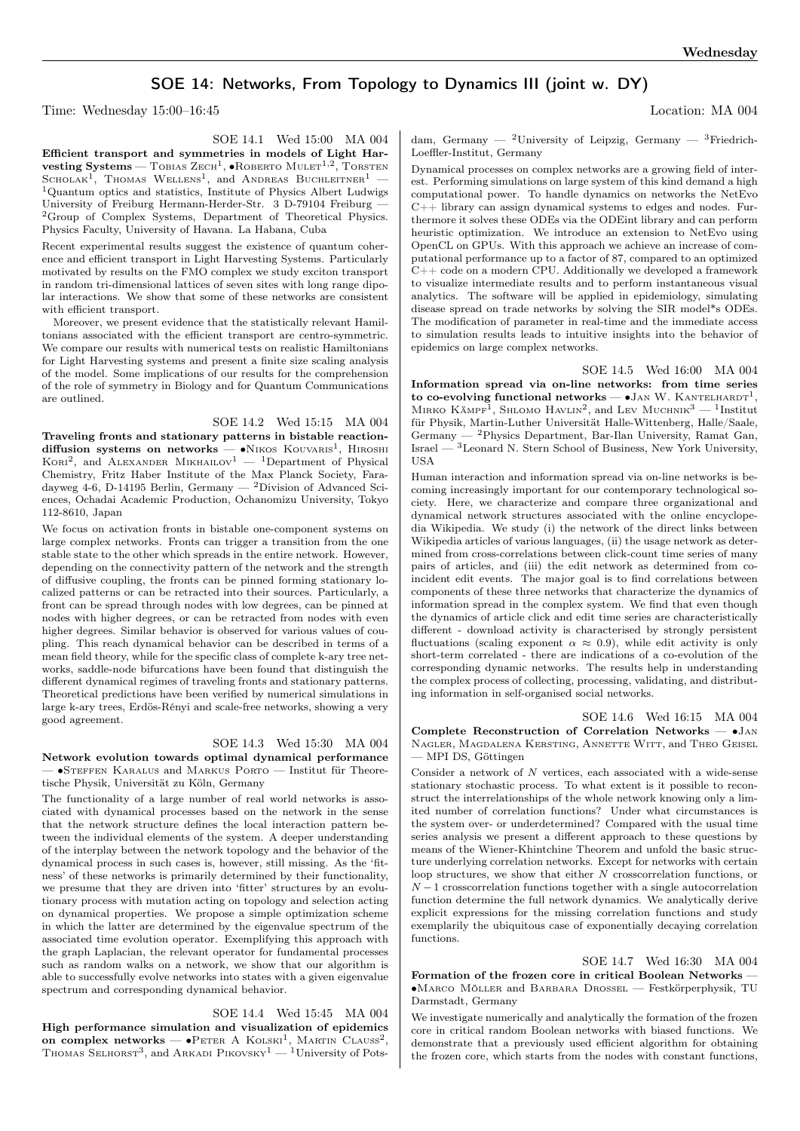## SOE 14: Networks, From Topology to Dynamics III (joint w. DY)

Time: Wednesday 15:00–16:45 Location: MA 004

SOE 14.1 Wed 15:00 MA 004

Efficient transport and symmetries in models of Light Har- $\textbf{vesting}\ \textbf{Systems} \textcolor{red}{\boldsymbol{-}\text{Tobias}\ \text{Zech}^1, \bullet \text{ROBERTO}\ \text{MULT}^{1, 2}, \text{ToRSTEN}}$ SCHOLAK<sup>1</sup>, THOMAS WELLENS<sup>1</sup>, and ANDREAS BUCHLEITNER<sup>1</sup> -<sup>1</sup>Quantum optics and statistics, Institute of Physics Albert Ludwigs University of Freiburg Hermann-Herder-Str. 3 D-79104 Freiburg — <sup>2</sup>Group of Complex Systems, Department of Theoretical Physics. Physics Faculty, University of Havana. La Habana, Cuba

Recent experimental results suggest the existence of quantum coherence and efficient transport in Light Harvesting Systems. Particularly motivated by results on the FMO complex we study exciton transport in random tri-dimensional lattices of seven sites with long range dipolar interactions. We show that some of these networks are consistent with efficient transport.

Moreover, we present evidence that the statistically relevant Hamiltonians associated with the efficient transport are centro-symmetric. We compare our results with numerical tests on realistic Hamiltonians for Light Harvesting systems and present a finite size scaling analysis of the model. Some implications of our results for the comprehension of the role of symmetry in Biology and for Quantum Communications are outlined.

SOE 14.2 Wed 15:15 MA 004

Traveling fronts and stationary patterns in bistable reactiondiffusion systems on networks — •Nikos Kouvaris<sup>1</sup>, Hiroshi<br>Kori<sup>2</sup>, and Alexander Mikhailov<sup>1</sup> — <sup>1</sup>Department of Physical Chemistry, Fritz Haber Institute of the Max Planck Society, Faradayweg  $4-6$ , D-14195 Berlin, Germany — <sup>2</sup>Division of Advanced Sciences, Ochadai Academic Production, Ochanomizu University, Tokyo 112-8610, Japan

We focus on activation fronts in bistable one-component systems on large complex networks. Fronts can trigger a transition from the one stable state to the other which spreads in the entire network. However, depending on the connectivity pattern of the network and the strength of diffusive coupling, the fronts can be pinned forming stationary localized patterns or can be retracted into their sources. Particularly, a front can be spread through nodes with low degrees, can be pinned at nodes with higher degrees, or can be retracted from nodes with even higher degrees. Similar behavior is observed for various values of coupling. This reach dynamical behavior can be described in terms of a mean field theory, while for the specific class of complete k-ary tree networks, saddle-node bifurcations have been found that distinguish the different dynamical regimes of traveling fronts and stationary patterns. Theoretical predictions have been verified by numerical simulations in large k-ary trees, Erdös-Rényi and scale-free networks, showing a very good agreement.

## SOE 14.3 Wed 15:30 MA 004

Network evolution towards optimal dynamical performance — ∙Steffen Karalus and Markus Porto — Institut für Theoretische Physik, Universität zu Köln, Germany

The functionality of a large number of real world networks is associated with dynamical processes based on the network in the sense that the network structure defines the local interaction pattern between the individual elements of the system. A deeper understanding of the interplay between the network topology and the behavior of the dynamical process in such cases is, however, still missing. As the 'fitness' of these networks is primarily determined by their functionality, we presume that they are driven into 'fitter' structures by an evolutionary process with mutation acting on topology and selection acting on dynamical properties. We propose a simple optimization scheme in which the latter are determined by the eigenvalue spectrum of the associated time evolution operator. Exemplifying this approach with the graph Laplacian, the relevant operator for fundamental processes such as random walks on a network, we show that our algorithm is able to successfully evolve networks into states with a given eigenvalue spectrum and corresponding dynamical behavior.

## SOE 14.4 Wed 15:45 MA 004

High performance simulation and visualization of epidemics on complex networks —  $\bullet$ Peter A Kolski<sup>1</sup>, Martin Clauss<sup>2</sup>, Thomas Selhorst<sup>3</sup>, and Arkadi Pikovsky<sup>1</sup> — <sup>1</sup>University of Potsdam, Germany — <sup>2</sup>University of Leipzig, Germany — <sup>3</sup>Friedrich-Loeffler-Institut, Germany

Dynamical processes on complex networks are a growing field of interest. Performing simulations on large system of this kind demand a high computational power. To handle dynamics on networks the NetEvo  $C_{++}$  library can assign dynamical systems to edges and nodes. Furthermore it solves these ODEs via the ODEint library and can perform heuristic optimization. We introduce an extension to NetEvo using OpenCL on GPUs. With this approach we achieve an increase of computational performance up to a factor of 87, compared to an optimized  $C++code$  on a modern CPU. Additionally we developed a framework to visualize intermediate results and to perform instantaneous visual analytics. The software will be applied in epidemiology, simulating disease spread on trade networks by solving the SIR model\*s ODEs. The modification of parameter in real-time and the immediate access to simulation results leads to intuitive insights into the behavior of epidemics on large complex networks.

SOE 14.5 Wed 16:00 MA 004 Information spread via on-line networks: from time series to co-evolving functional networks —  $\bullet$  JAN W. KANTELHARDT<sup>1</sup>, MIRKO  $\text{KAMPF}^1$ , SHLOMO HAVLIN<sup>2</sup>, and LEV MUCHNIK<sup>3</sup> - <sup>1</sup>Institut für Physik, Martin-Luther Universität Halle-Wittenberg, Halle/Saale, Germany — <sup>2</sup>Physics Department, Bar-Ilan University, Ramat Gan,  $\text{Israel} \overset{\sim}{\longrightarrow} \text{Leonard}$ N. Stern School of Business, New York University, USA

Human interaction and information spread via on-line networks is becoming increasingly important for our contemporary technological society. Here, we characterize and compare three organizational and dynamical network structures associated with the online encyclopedia Wikipedia. We study (i) the network of the direct links between Wikipedia articles of various languages, (ii) the usage network as determined from cross-correlations between click-count time series of many pairs of articles, and (iii) the edit network as determined from coincident edit events. The major goal is to find correlations between components of these three networks that characterize the dynamics of information spread in the complex system. We find that even though the dynamics of article click and edit time series are characteristically different - download activity is characterised by strongly persistent fluctuations (scaling exponent  $\alpha \approx 0.9$ ), while edit activity is only short-term correlated - there are indications of a co-evolution of the corresponding dynamic networks. The results help in understanding the complex process of collecting, processing, validating, and distributing information in self-organised social networks.

SOE 14.6 Wed 16:15 MA 004 Complete Reconstruction of Correlation Networks — ∙Jan Nagler, Magdalena Kersting, Annette Witt, and Theo Geisel — MPI DS, Göttingen

Consider a network of  $N$  vertices, each associated with a wide-sense stationary stochastic process. To what extent is it possible to reconstruct the interrelationships of the whole network knowing only a limited number of correlation functions? Under what circumstances is the system over- or underdetermined? Compared with the usual time series analysis we present a different approach to these questions by means of the Wiener-Khintchine Theorem and unfold the basic structure underlying correlation networks. Except for networks with certain loop structures, we show that either  $N$  crosscorrelation functions, or  $N-1$  crosscorrelation functions together with a single autocorrelation function determine the full network dynamics. We analytically derive explicit expressions for the missing correlation functions and study exemplarily the ubiquitous case of exponentially decaying correlation functions.

SOE 14.7 Wed 16:30 MA 004 Formation of the frozen core in critical Boolean Networks — ∙Marco Möller and Barbara Drossel — Festkörperphysik, TU Darmstadt, Germany

We investigate numerically and analytically the formation of the frozen core in critical random Boolean networks with biased functions. We demonstrate that a previously used efficient algorithm for obtaining the frozen core, which starts from the nodes with constant functions,